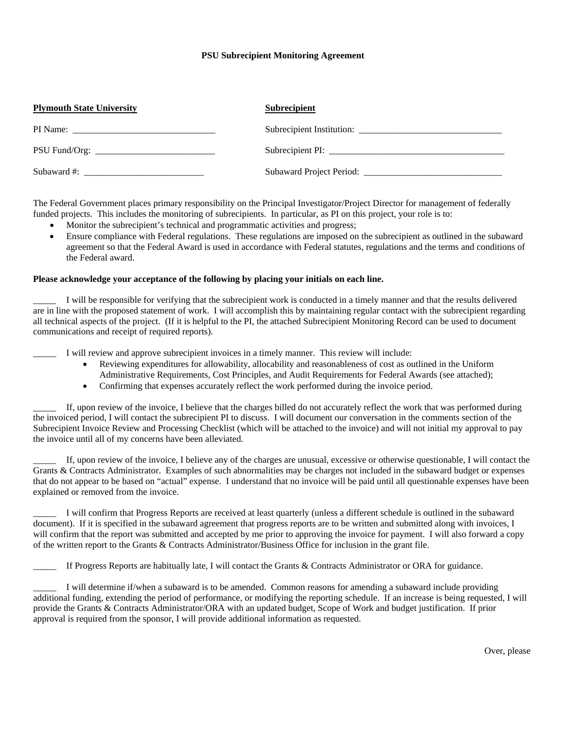## **PSU Subrecipient Monitoring Agreement**

| <b>Plymouth State University</b> | <b>Subrecipient</b>       |
|----------------------------------|---------------------------|
|                                  | Subrecipient Institution: |
|                                  |                           |
| Subaward #:                      |                           |

The Federal Government places primary responsibility on the Principal Investigator/Project Director for management of federally funded projects. This includes the monitoring of subrecipients. In particular, as PI on this project, your role is to:

- Monitor the subrecipient's technical and programmatic activities and progress;
- Ensure compliance with Federal regulations. These regulations are imposed on the subrecipient as outlined in the subaward agreement so that the Federal Award is used in accordance with Federal statutes, regulations and the terms and conditions of the Federal award.

## **Please acknowledge your acceptance of the following by placing your initials on each line.**

I will be responsible for verifying that the subrecipient work is conducted in a timely manner and that the results delivered are in line with the proposed statement of work. I will accomplish this by maintaining regular contact with the subrecipient regarding all technical aspects of the project. (If it is helpful to the PI, the attached Subrecipient Monitoring Record can be used to document communications and receipt of required reports).

I will review and approve subrecipient invoices in a timely manner. This review will include:

- Reviewing expenditures for allowability, allocability and reasonableness of cost as outlined in the Uniform Administrative Requirements, Cost Principles, and Audit Requirements for Federal Awards (see attached);
- Confirming that expenses accurately reflect the work performed during the invoice period.

\_\_\_\_\_ If, upon review of the invoice, I believe that the charges billed do not accurately reflect the work that was performed during the invoiced period, I will contact the subrecipient PI to discuss. I will document our conversation in the comments section of the Subrecipient Invoice Review and Processing Checklist (which will be attached to the invoice) and will not initial my approval to pay the invoice until all of my concerns have been alleviated.

\_\_\_\_\_ If, upon review of the invoice, I believe any of the charges are unusual, excessive or otherwise questionable, I will contact the Grants & Contracts Administrator. Examples of such abnormalities may be charges not included in the subaward budget or expenses that do not appear to be based on "actual" expense. I understand that no invoice will be paid until all questionable expenses have been explained or removed from the invoice.

\_\_\_\_\_ I will confirm that Progress Reports are received at least quarterly (unless a different schedule is outlined in the subaward document). If it is specified in the subaward agreement that progress reports are to be written and submitted along with invoices, I will confirm that the report was submitted and accepted by me prior to approving the invoice for payment. I will also forward a copy of the written report to the Grants & Contracts Administrator/Business Office for inclusion in the grant file.

If Progress Reports are habitually late, I will contact the Grants & Contracts Administrator or ORA for guidance.

I will determine if/when a subaward is to be amended. Common reasons for amending a subaward include providing additional funding, extending the period of performance, or modifying the reporting schedule. If an increase is being requested, I will provide the Grants & Contracts Administrator/ORA with an updated budget, Scope of Work and budget justification. If prior approval is required from the sponsor, I will provide additional information as requested.